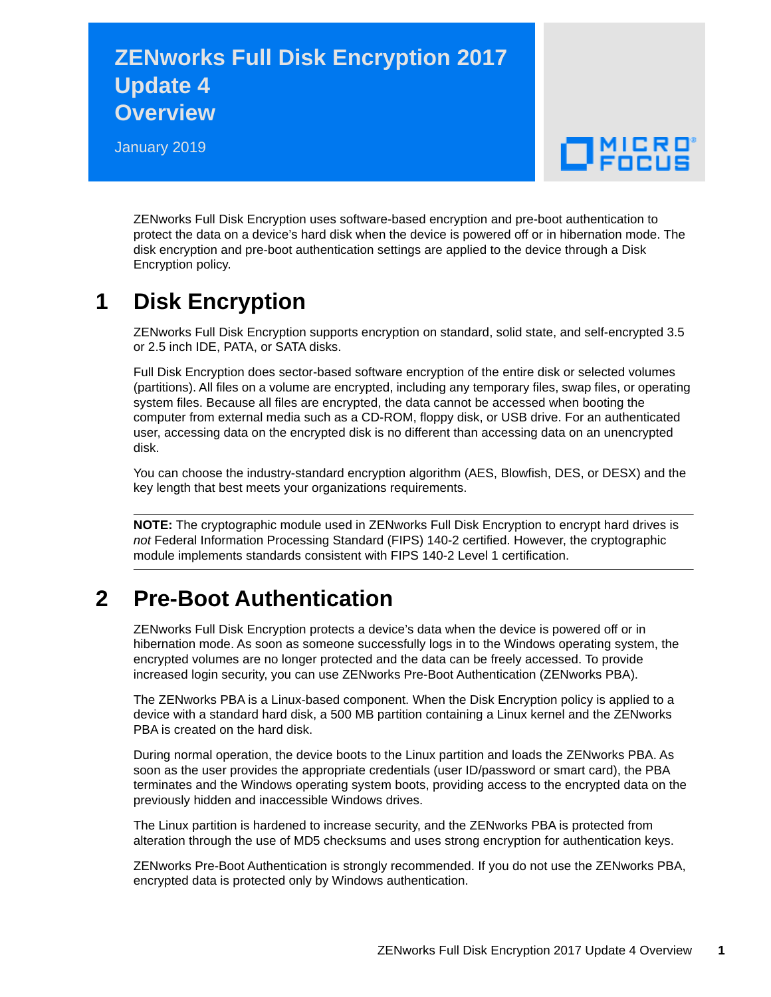## **ZENworks Full Disk Encryption 2017 Update 4 Overview**

January 2019

# $\Box$ MICRO

ZENworks Full Disk Encryption uses software-based encryption and pre-boot authentication to protect the data on a device's hard disk when the device is powered off or in hibernation mode. The disk encryption and pre-boot authentication settings are applied to the device through a Disk Encryption policy.

### **1 Disk Encryption**

ZENworks Full Disk Encryption supports encryption on standard, solid state, and self-encrypted 3.5 or 2.5 inch IDE, PATA, or SATA disks.

Full Disk Encryption does sector-based software encryption of the entire disk or selected volumes (partitions). All files on a volume are encrypted, including any temporary files, swap files, or operating system files. Because all files are encrypted, the data cannot be accessed when booting the computer from external media such as a CD-ROM, floppy disk, or USB drive. For an authenticated user, accessing data on the encrypted disk is no different than accessing data on an unencrypted disk.

You can choose the industry-standard encryption algorithm (AES, Blowfish, DES, or DESX) and the key length that best meets your organizations requirements.

**NOTE:** The cryptographic module used in ZENworks Full Disk Encryption to encrypt hard drives is *not* Federal Information Processing Standard (FIPS) 140-2 certified. However, the cryptographic module implements standards consistent with FIPS 140-2 Level 1 certification.

#### **2 Pre-Boot Authentication**

ZENworks Full Disk Encryption protects a device's data when the device is powered off or in hibernation mode. As soon as someone successfully logs in to the Windows operating system, the encrypted volumes are no longer protected and the data can be freely accessed. To provide increased login security, you can use ZENworks Pre-Boot Authentication (ZENworks PBA).

The ZENworks PBA is a Linux-based component. When the Disk Encryption policy is applied to a device with a standard hard disk, a 500 MB partition containing a Linux kernel and the ZENworks PBA is created on the hard disk.

During normal operation, the device boots to the Linux partition and loads the ZENworks PBA. As soon as the user provides the appropriate credentials (user ID/password or smart card), the PBA terminates and the Windows operating system boots, providing access to the encrypted data on the previously hidden and inaccessible Windows drives.

The Linux partition is hardened to increase security, and the ZENworks PBA is protected from alteration through the use of MD5 checksums and uses strong encryption for authentication keys.

ZENworks Pre-Boot Authentication is strongly recommended. If you do not use the ZENworks PBA, encrypted data is protected only by Windows authentication.